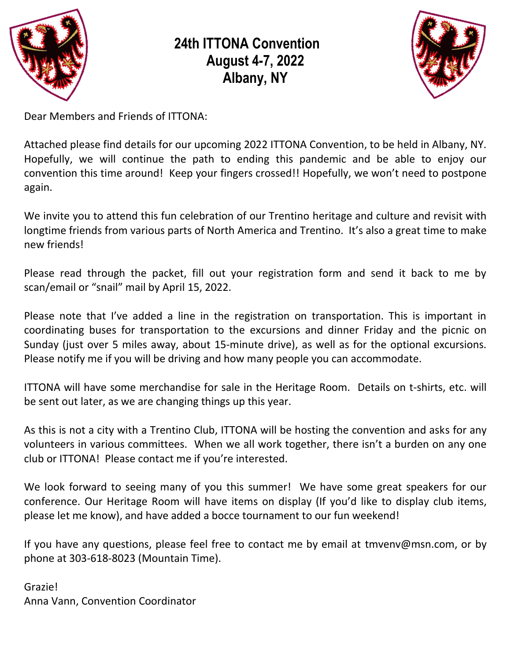

# **24th ITTONA Convention August 4-7, 2022 Albany, NY**



Dear Members and Friends of ITTONA:

Attached please find details for our upcoming 2022 ITTONA Convention, to be held in Albany, NY. Hopefully, we will continue the path to ending this pandemic and be able to enjoy our convention this time around! Keep your fingers crossed!! Hopefully, we won't need to postpone again.

We invite you to attend this fun celebration of our Trentino heritage and culture and revisit with longtime friends from various parts of North America and Trentino. It's also a great time to make new friends!

Please read through the packet, fill out your registration form and send it back to me by scan/email or "snail" mail by April 15, 2022.

Please note that I've added a line in the registration on transportation. This is important in coordinating buses for transportation to the excursions and dinner Friday and the picnic on Sunday (just over 5 miles away, about 15-minute drive), as well as for the optional excursions. Please notify me if you will be driving and how many people you can accommodate.

ITTONA will have some merchandise for sale in the Heritage Room. Details on t-shirts, etc. will be sent out later, as we are changing things up this year.

As this is not a city with a Trentino Club, ITTONA will be hosting the convention and asks for any volunteers in various committees. When we all work together, there isn't a burden on any one club or ITTONA! Please contact me if you're interested.

We look forward to seeing many of you this summer! We have some great speakers for our conference. Our Heritage Room will have items on display (If you'd like to display club items, please let me know), and have added a bocce tournament to our fun weekend!

If you have any questions, please feel free to contact me by email at [tmvenv@msn.com,](mailto:tmvenv@msn.com) or by phone at 303-618-8023 (Mountain Time).

Grazie! Anna Vann, Convention Coordinator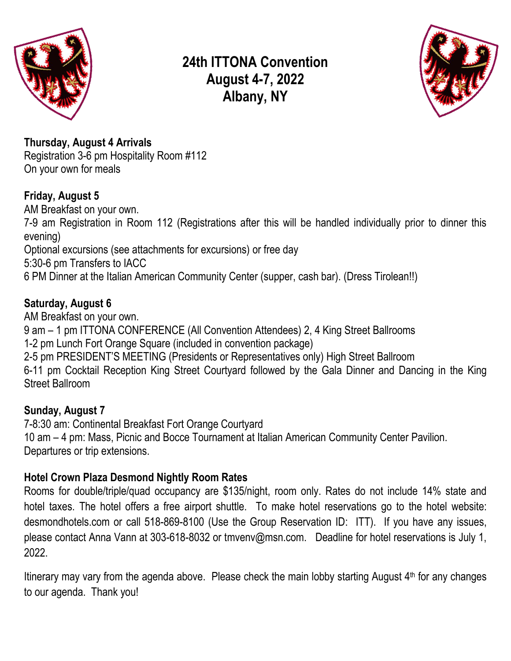

## **24th ITTONA Convention August 4-7, 2022 Albany, NY**



**Thursday, August 4 Arrivals** Registration 3-6 pm Hospitality Room #112 On your own for meals

#### **Friday, August 5**

AM Breakfast on your own. 7-9 am Registration in Room 112 (Registrations after this will be handled individually prior to dinner this evening) Optional excursions (see attachments for excursions) or free day 5:30-6 pm Transfers to IACC 6 PM Dinner at the Italian American Community Center (supper, cash bar). (Dress Tirolean!!)

#### **Saturday, August 6**

AM Breakfast on your own. 9 am – 1 pm ITTONA CONFERENCE (All Convention Attendees) 2, 4 King Street Ballrooms 1-2 pm Lunch Fort Orange Square (included in convention package) 2-5 pm PRESIDENT'S MEETING (Presidents or Representatives only) High Street Ballroom 6-11 pm Cocktail Reception King Street Courtyard followed by the Gala Dinner and Dancing in the King Street Ballroom

### **Sunday, August 7**

7-8:30 am: Continental Breakfast Fort Orange Courtyard 10 am – 4 pm: Mass, Picnic and Bocce Tournament at Italian American Community Center Pavilion. Departures or trip extensions.

#### **Hotel Crown Plaza Desmond Nightly Room Rates**

Rooms for double/triple/quad occupancy are \$135/night, room only. Rates do not include 14% state and hotel taxes. The hotel offers a free airport shuttle. To make hotel reservations go to the hotel website: desmondhotels.com or call 518-869-8100 (Use the Group Reservation ID: ITT). If you have any issues, please contact Anna Vann at 303-618-8032 or [tmvenv@msn.com.](mailto:tmvenv@msn.com) Deadline for hotel reservations is July 1, 2022.

Itinerary may vary from the agenda above. Please check the main lobby starting August 4<sup>th</sup> for any changes to our agenda. Thank you!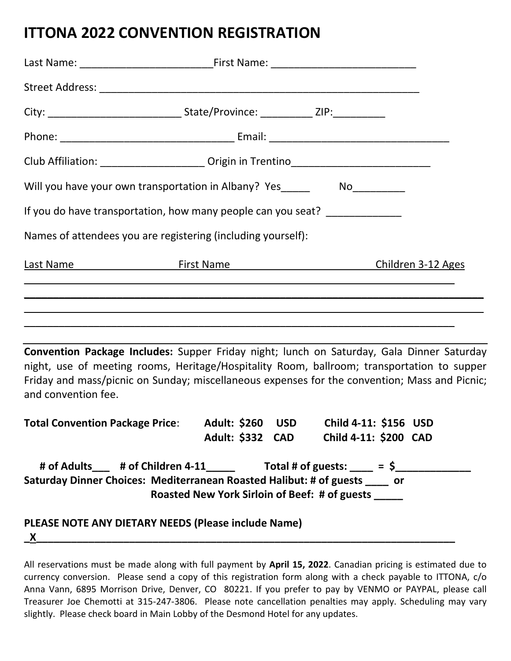## **ITTONA 2022 CONVENTION REGISTRATION**

|                                                                                                                                                                                                                                                                                                                 | Club Affiliation: ________________________ Origin in Trentino____________________ |  |            |                                                                 |  |  |  |  |
|-----------------------------------------------------------------------------------------------------------------------------------------------------------------------------------------------------------------------------------------------------------------------------------------------------------------|-----------------------------------------------------------------------------------|--|------------|-----------------------------------------------------------------|--|--|--|--|
| Will you have your own transportation in Albany? Yes____________________________                                                                                                                                                                                                                                |                                                                                   |  |            |                                                                 |  |  |  |  |
| If you do have transportation, how many people can you seat? ______________                                                                                                                                                                                                                                     |                                                                                   |  |            |                                                                 |  |  |  |  |
| Names of attendees you are registering (including yourself):                                                                                                                                                                                                                                                    |                                                                                   |  |            |                                                                 |  |  |  |  |
| Last Name Children 3-12 Ages                                                                                                                                                                                                                                                                                    |                                                                                   |  |            |                                                                 |  |  |  |  |
| <u> 1989 - Andrea Santa Andrea Santa Andrea Santa Andrea Santa Andrea Santa Andrea Santa Andrea Santa Andrea San</u>                                                                                                                                                                                            |                                                                                   |  |            |                                                                 |  |  |  |  |
| Convention Package Includes: Supper Friday night; lunch on Saturday, Gala Dinner Saturday<br>night, use of meeting rooms, Heritage/Hospitality Room, ballroom; transportation to supper<br>Friday and mass/picnic on Sunday; miscellaneous expenses for the convention; Mass and Picnic;<br>and convention fee. |                                                                                   |  |            |                                                                 |  |  |  |  |
| Total Convention Package Price: Adult: \$260                                                                                                                                                                                                                                                                    |                                                                                   |  | <b>USD</b> | Child 4-11: \$156 USD<br>Adult: \$332 CAD Child 4-11: \$200 CAD |  |  |  |  |
| # of Adults___ # of Children 4-11_____ Total # of guests: ____ = \$___________<br>Saturday Dinner Choices: Mediterranean Roasted Halibut: # of guests ____ or                                                                                                                                                   |                                                                                   |  |            | Roasted New York Sirloin of Beef: # of guests _____             |  |  |  |  |
| PLEASE NOTE ANY DIETARY NEEDS (Please include Name)<br>$\mathbf x$                                                                                                                                                                                                                                              |                                                                                   |  |            |                                                                 |  |  |  |  |

All reservations must be made along with full payment by **April 15, 2022**. Canadian pricing is estimated due to currency conversion. Please send a copy of this registration form along with a check payable to ITTONA, c/o Anna Vann, 6895 Morrison Drive, Denver, CO 80221. If you prefer to pay by VENMO or PAYPAL, please call Treasurer Joe Chemotti at 315-247-3806. Please note cancellation penalties may apply. Scheduling may vary slightly. Please check board in Main Lobby of the Desmond Hotel for any updates.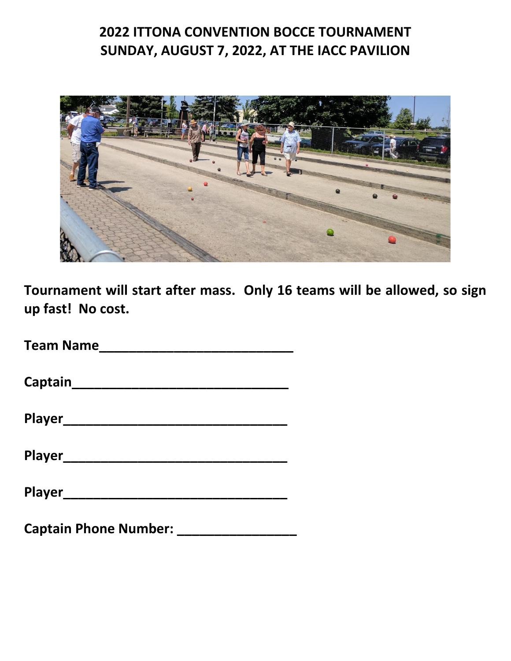## **2022 ITTONA CONVENTION BOCCE TOURNAMENT SUNDAY, AUGUST 7, 2022, AT THE IACC PAVILION**



**Tournament will start after mass. Only 16 teams will be allowed, so sign up fast! No cost.** 

**Team Name\_\_\_\_\_\_\_\_\_\_\_\_\_\_\_\_\_\_\_\_\_\_\_\_\_\_**

**Captain\_\_\_\_\_\_\_\_\_\_\_\_\_\_\_\_\_\_\_\_\_\_\_\_\_\_\_\_\_**

| <b>Player</b> |  |  |  |
|---------------|--|--|--|
|               |  |  |  |

**Player\_\_\_\_\_\_\_\_\_\_\_\_\_\_\_\_\_\_\_\_\_\_\_\_\_\_\_\_\_\_**

**Player\_\_\_\_\_\_\_\_\_\_\_\_\_\_\_\_\_\_\_\_\_\_\_\_\_\_\_\_\_\_**

**Captain Phone Number: \_\_\_\_\_\_\_\_\_\_\_\_\_\_\_\_**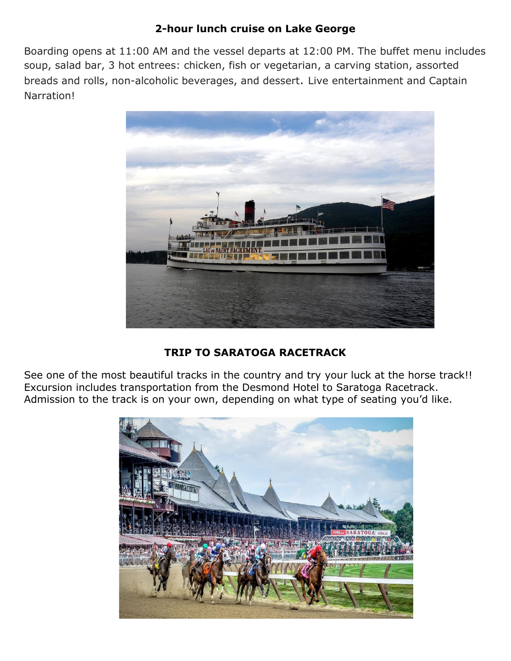#### **2-hour lunch cruise on Lake George**

Boarding opens at 11:00 AM and the vessel departs at 12:00 PM. The buffet menu includes soup, salad bar, 3 hot entrees: chicken, fish or vegetarian, a carving station, assorted breads and rolls, non-alcoholic beverages, and dessert. Live entertainment and Captain Narration!



#### **TRIP TO SARATOGA RACETRACK**

See one of the most beautiful tracks in the country and try your luck at the horse track!! Excursion includes transportation from the Desmond Hotel to Saratoga Racetrack. Admission to the track is on your own, depending on what type of seating you'd like.